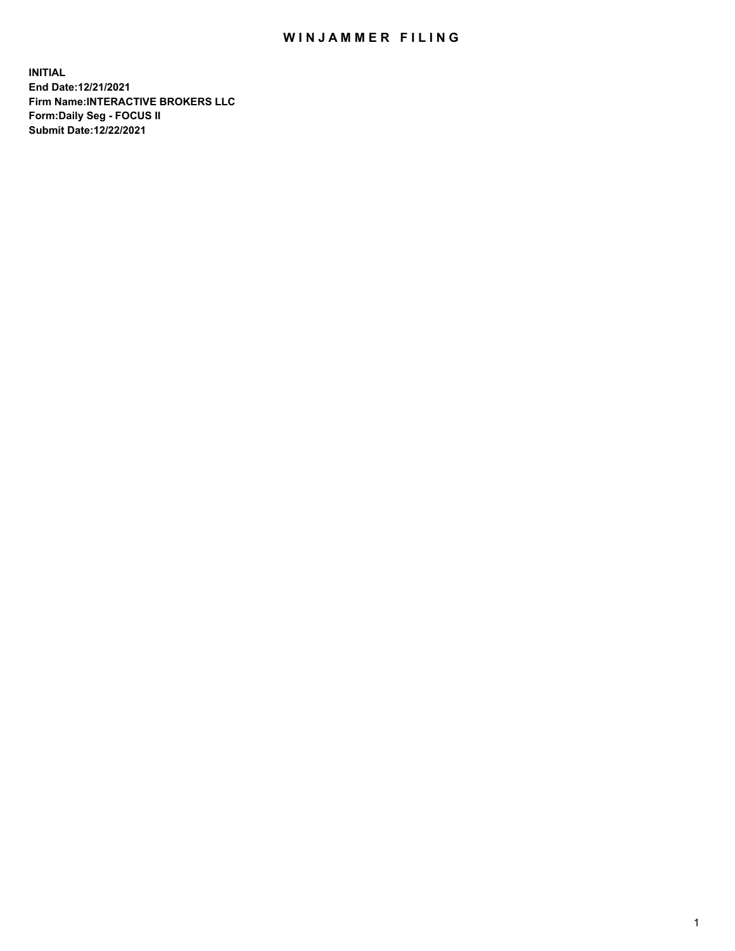## WIN JAMMER FILING

**INITIAL End Date:12/21/2021 Firm Name:INTERACTIVE BROKERS LLC Form:Daily Seg - FOCUS II Submit Date:12/22/2021**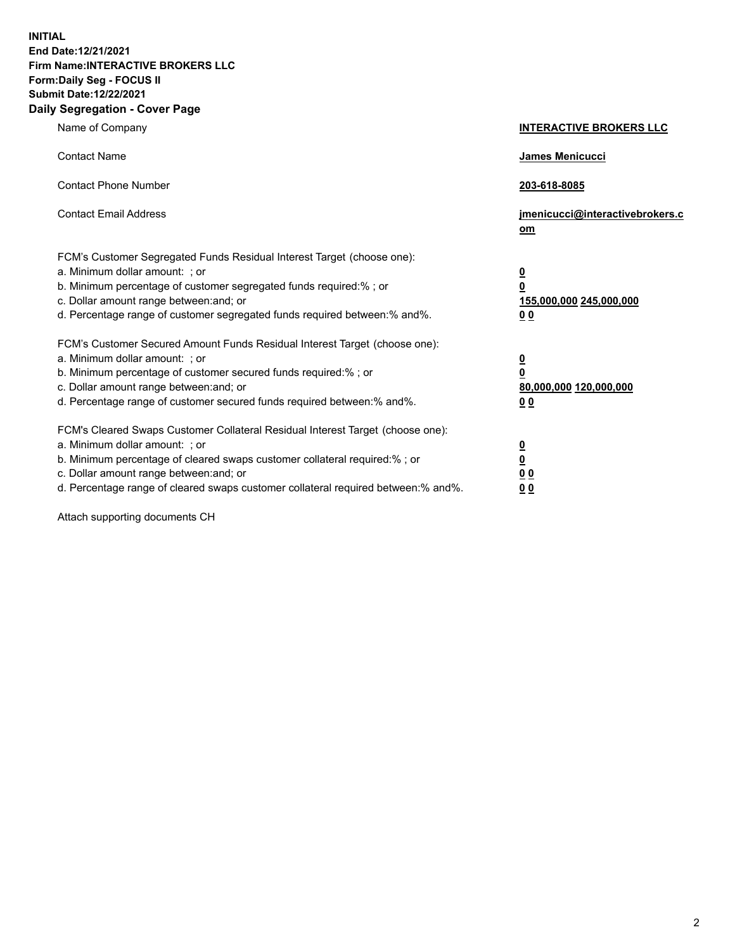**INITIAL End Date:12/21/2021 Firm Name:INTERACTIVE BROKERS LLC Form:Daily Seg - FOCUS II Submit Date:12/22/2021 Daily Segregation - Cover Page**

| Name of Company                                                                                                                                                                                                                                                                                                                | <b>INTERACTIVE BROKERS LLC</b>                                                                           |
|--------------------------------------------------------------------------------------------------------------------------------------------------------------------------------------------------------------------------------------------------------------------------------------------------------------------------------|----------------------------------------------------------------------------------------------------------|
| <b>Contact Name</b>                                                                                                                                                                                                                                                                                                            | James Menicucci                                                                                          |
| <b>Contact Phone Number</b>                                                                                                                                                                                                                                                                                                    | 203-618-8085                                                                                             |
| <b>Contact Email Address</b>                                                                                                                                                                                                                                                                                                   | jmenicucci@interactivebrokers.c<br>om                                                                    |
| FCM's Customer Segregated Funds Residual Interest Target (choose one):<br>a. Minimum dollar amount: ; or<br>b. Minimum percentage of customer segregated funds required:%; or<br>c. Dollar amount range between: and; or<br>d. Percentage range of customer segregated funds required between:% and%.                          | <u>0</u><br>$\overline{\mathbf{0}}$<br>155,000,000 245,000,000<br>0 <sub>0</sub>                         |
| FCM's Customer Secured Amount Funds Residual Interest Target (choose one):<br>a. Minimum dollar amount: ; or<br>b. Minimum percentage of customer secured funds required:%; or<br>c. Dollar amount range between: and; or<br>d. Percentage range of customer secured funds required between:% and%.                            | <u>0</u><br>$\overline{\mathbf{0}}$<br>80,000,000 120,000,000<br><u>00</u>                               |
| FCM's Cleared Swaps Customer Collateral Residual Interest Target (choose one):<br>a. Minimum dollar amount: ; or<br>b. Minimum percentage of cleared swaps customer collateral required:% ; or<br>c. Dollar amount range between: and; or<br>d. Percentage range of cleared swaps customer collateral required between:% and%. | $\overline{\mathbf{0}}$<br>$\underline{\mathbf{0}}$<br>$\underline{0}$ $\underline{0}$<br>0 <sub>0</sub> |

Attach supporting documents CH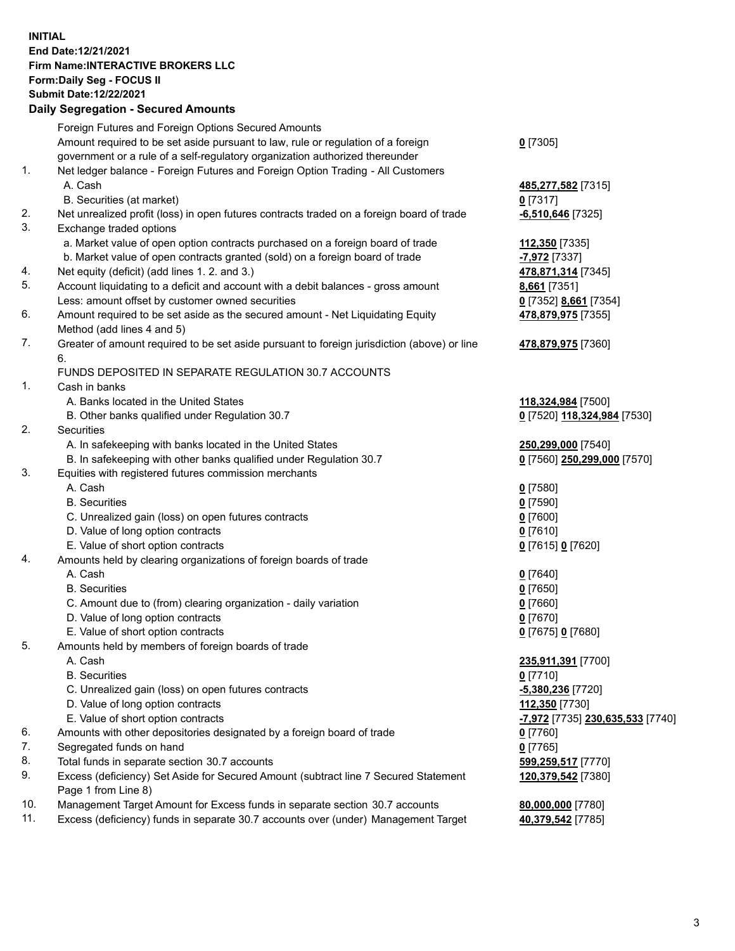## **INITIAL End Date:12/21/2021 Firm Name:INTERACTIVE BROKERS LLC Form:Daily Seg - FOCUS II Submit Date:12/22/2021 Daily Segregation - Secured Amounts**

|          | Daily Segregation - Secured Amounts                                                                        |                                               |
|----------|------------------------------------------------------------------------------------------------------------|-----------------------------------------------|
|          | Foreign Futures and Foreign Options Secured Amounts                                                        |                                               |
|          | Amount required to be set aside pursuant to law, rule or regulation of a foreign                           | $0$ [7305]                                    |
|          | government or a rule of a self-regulatory organization authorized thereunder                               |                                               |
| 1.       | Net ledger balance - Foreign Futures and Foreign Option Trading - All Customers                            |                                               |
|          | A. Cash                                                                                                    | 485,277,582 [7315]                            |
|          | B. Securities (at market)                                                                                  | $0$ [7317]                                    |
| 2.       | Net unrealized profit (loss) in open futures contracts traded on a foreign board of trade                  | $-6,510,646$ [7325]                           |
| 3.       | Exchange traded options                                                                                    |                                               |
|          | a. Market value of open option contracts purchased on a foreign board of trade                             | 112,350 [7335]                                |
|          | b. Market value of open contracts granted (sold) on a foreign board of trade                               | -7,972 [7337]                                 |
| 4.       | Net equity (deficit) (add lines 1. 2. and 3.)                                                              | 478,871,314 [7345]                            |
| 5.       | Account liquidating to a deficit and account with a debit balances - gross amount                          | 8,661 [7351]                                  |
|          | Less: amount offset by customer owned securities                                                           | 0 [7352] 8,661 [7354]                         |
| 6.       | Amount required to be set aside as the secured amount - Net Liquidating Equity                             | 478,879,975 [7355]                            |
|          | Method (add lines 4 and 5)                                                                                 |                                               |
| 7.       | Greater of amount required to be set aside pursuant to foreign jurisdiction (above) or line                | 478,879,975 [7360]                            |
|          | 6.                                                                                                         |                                               |
|          | FUNDS DEPOSITED IN SEPARATE REGULATION 30.7 ACCOUNTS                                                       |                                               |
| 1.       | Cash in banks                                                                                              |                                               |
|          | A. Banks located in the United States                                                                      | 118,324,984 [7500]                            |
|          | B. Other banks qualified under Regulation 30.7                                                             | 0 [7520] 118,324,984 [7530]                   |
| 2.       | Securities                                                                                                 |                                               |
|          | A. In safekeeping with banks located in the United States                                                  | 250,299,000 [7540]                            |
|          | B. In safekeeping with other banks qualified under Regulation 30.7                                         | 0 [7560] 250,299,000 [7570]                   |
| 3.       | Equities with registered futures commission merchants                                                      |                                               |
|          | A. Cash                                                                                                    | $0$ [7580]                                    |
|          | <b>B.</b> Securities                                                                                       | $0$ [7590]                                    |
|          | C. Unrealized gain (loss) on open futures contracts                                                        | $0$ [7600]                                    |
|          | D. Value of long option contracts                                                                          | $0$ [7610]                                    |
|          | E. Value of short option contracts                                                                         | 0 [7615] 0 [7620]                             |
| 4.       | Amounts held by clearing organizations of foreign boards of trade                                          |                                               |
|          | A. Cash                                                                                                    | $0$ [7640]                                    |
|          | <b>B.</b> Securities                                                                                       | $0$ [7650]                                    |
|          | C. Amount due to (from) clearing organization - daily variation                                            | $0$ [7660]                                    |
|          | D. Value of long option contracts                                                                          | $0$ [7670]                                    |
|          | E. Value of short option contracts                                                                         | 0 [7675] 0 [7680]                             |
| 5.       | Amounts held by members of foreign boards of trade                                                         |                                               |
|          | A. Cash                                                                                                    | 235,911,391 [7700]                            |
|          | <b>B.</b> Securities                                                                                       | $0$ [7710]                                    |
|          | C. Unrealized gain (loss) on open futures contracts                                                        | -5,380,236 [7720]                             |
|          | D. Value of long option contracts                                                                          | 112,350 [7730]                                |
|          | E. Value of short option contracts                                                                         | <mark>-7,972</mark> [7735] 230,635,533 [7740] |
| 6.       | Amounts with other depositories designated by a foreign board of trade                                     | 0 [7760]                                      |
| 7.       | Segregated funds on hand                                                                                   | $0$ [7765]                                    |
| 8.<br>9. | Total funds in separate section 30.7 accounts                                                              | 599,259,517 [7770]                            |
|          | Excess (deficiency) Set Aside for Secured Amount (subtract line 7 Secured Statement<br>Page 1 from Line 8) | 120,379,542 [7380]                            |
| 10.      | Management Target Amount for Excess funds in separate section 30.7 accounts                                | 80,000,000 [7780]                             |
| 11.      | Excess (deficiency) funds in separate 30.7 accounts over (under) Management Target                         | 40,379,542 [7785]                             |
|          |                                                                                                            |                                               |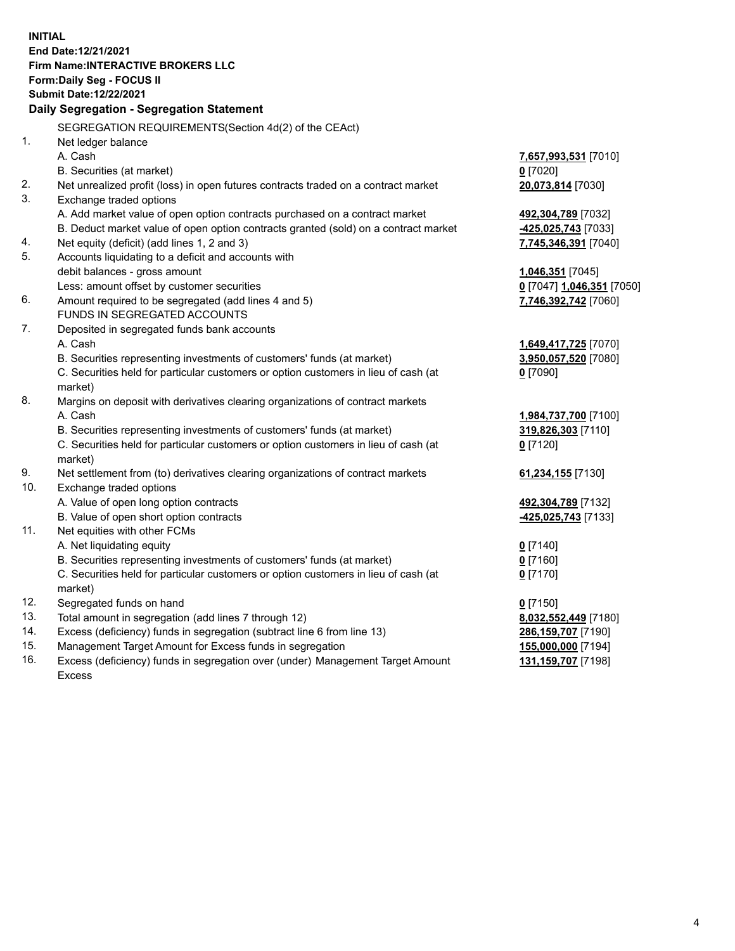**INITIAL End Date:12/21/2021 Firm Name:INTERACTIVE BROKERS LLC Form:Daily Seg - FOCUS II Submit Date:12/22/2021 Daily Segregation - Segregation Statement** SEGREGATION REQUIREMENTS(Section 4d(2) of the CEAct) 1. Net ledger balance A. Cash **7,657,993,531** [7010] B. Securities (at market) **0** [7020] 2. Net unrealized profit (loss) in open futures contracts traded on a contract market **20,073,814** [7030] 3. Exchange traded options A. Add market value of open option contracts purchased on a contract market **492,304,789** [7032] B. Deduct market value of open option contracts granted (sold) on a contract market **-425,025,743** [7033] 4. Net equity (deficit) (add lines 1, 2 and 3) **7,745,346,391** [7040] 5. Accounts liquidating to a deficit and accounts with debit balances - gross amount **1,046,351** [7045] Less: amount offset by customer securities **0** [7047] **1,046,351** [7050] 6. Amount required to be segregated (add lines 4 and 5) **7,746,392,742** [7060] FUNDS IN SEGREGATED ACCOUNTS 7. Deposited in segregated funds bank accounts A. Cash **1,649,417,725** [7070] B. Securities representing investments of customers' funds (at market) **3,950,057,520** [7080] C. Securities held for particular customers or option customers in lieu of cash (at market) **0** [7090] 8. Margins on deposit with derivatives clearing organizations of contract markets A. Cash **1,984,737,700** [7100] B. Securities representing investments of customers' funds (at market) **319,826,303** [7110] C. Securities held for particular customers or option customers in lieu of cash (at market) **0** [7120] 9. Net settlement from (to) derivatives clearing organizations of contract markets **61,234,155** [7130] 10. Exchange traded options A. Value of open long option contracts **492,304,789** [7132] B. Value of open short option contracts **-425,025,743** [7133] 11. Net equities with other FCMs A. Net liquidating equity **0** [7140] B. Securities representing investments of customers' funds (at market) **0** [7160] C. Securities held for particular customers or option customers in lieu of cash (at market) **0** [7170] 12. Segregated funds on hand **0** [7150] 13. Total amount in segregation (add lines 7 through 12) **8,032,552,449** [7180] 14. Excess (deficiency) funds in segregation (subtract line 6 from line 13) **286,159,707** [7190] 15. Management Target Amount for Excess funds in segregation **155,000,000** [7194] 16. Excess (deficiency) funds in segregation over (under) Management Target Amount Excess **131,159,707** [7198]